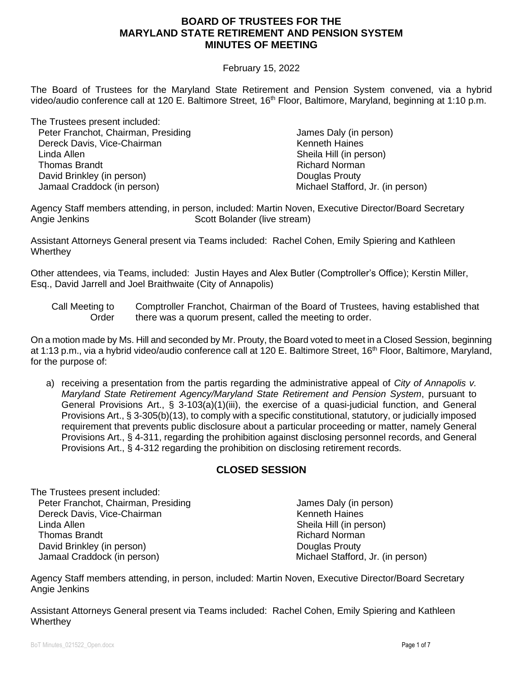#### February 15, 2022

The Board of Trustees for the Maryland State Retirement and Pension System convened, via a hybrid video/audio conference call at 120 E. Baltimore Street, 16<sup>th</sup> Floor, Baltimore, Maryland, beginning at 1:10 p.m.

The Trustees present included: Peter Franchot, Chairman, Presiding Dereck Davis, Vice-Chairman Linda Allen Thomas Brandt David Brinkley (in person) Jamaal Craddock (in person)

 James Daly (in person) Kenneth Haines Sheila Hill (in person) Richard Norman Douglas Prouty Michael Stafford, Jr. (in person)

Agency Staff members attending, in person, included: Martin Noven, Executive Director/Board Secretary Angie Jenkins **Scott Bolander** (live stream)

Assistant Attorneys General present via Teams included: Rachel Cohen, Emily Spiering and Kathleen **Wherthey** 

Other attendees, via Teams, included: Justin Hayes and Alex Butler (Comptroller's Office); Kerstin Miller, Esq., David Jarrell and Joel Braithwaite (City of Annapolis)

On a motion made by Ms. Hill and seconded by Mr. Prouty, the Board voted to meet in a Closed Session, beginning at 1:13 p.m., via a hybrid video/audio conference call at 120 E. Baltimore Street, 16<sup>th</sup> Floor, Baltimore, Maryland, for the purpose of:

a) receiving a presentation from the partis regarding the administrative appeal of *City of Annapolis v. Maryland State Retirement Agency/Maryland State Retirement and Pension System*, pursuant to General Provisions Art., § 3-103(a)(1)(iii), the exercise of a quasi-judicial function, and General Provisions Art., § 3-305(b)(13), to comply with a specific constitutional, statutory, or judicially imposed requirement that prevents public disclosure about a particular proceeding or matter, namely General Provisions Art., § 4-311, regarding the prohibition against disclosing personnel records, and General Provisions Art., § 4-312 regarding the prohibition on disclosing retirement records.

## **CLOSED SESSION**

The Trustees present included: Peter Franchot, Chairman, Presiding Dereck Davis, Vice-Chairman Linda Allen Thomas Brandt David Brinkley (in person) Jamaal Craddock (in person)

 James Daly (in person) Kenneth Haines Sheila Hill (in person) Richard Norman Douglas Prouty Michael Stafford, Jr. (in person)

Agency Staff members attending, in person, included: Martin Noven, Executive Director/Board Secretary Angie Jenkins

Assistant Attorneys General present via Teams included: Rachel Cohen, Emily Spiering and Kathleen **Wherthey** 

BoT Minutes 021522 Open.docx **Page 1 of 7** and the set of the set of the set of the page 1 of 7 and the page 1 of 7

Call Meeting to Order Comptroller Franchot, Chairman of the Board of Trustees, having established that there was a quorum present, called the meeting to order.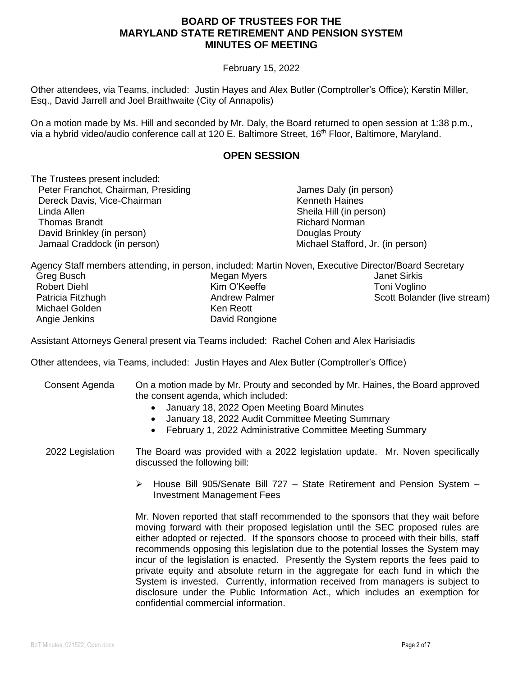#### February 15, 2022

Other attendees, via Teams, included: Justin Hayes and Alex Butler (Comptroller's Office); Kerstin Miller, Esq., David Jarrell and Joel Braithwaite (City of Annapolis)

On a motion made by Ms. Hill and seconded by Mr. Daly, the Board returned to open session at 1:38 p.m., via a hybrid video/audio conference call at 120 E. Baltimore Street, 16<sup>th</sup> Floor, Baltimore, Maryland.

#### **OPEN SESSION**

The Trustees present included: Peter Franchot, Chairman, Presiding Dereck Davis, Vice-Chairman Linda Allen Thomas Brandt David Brinkley (in person) Jamaal Craddock (in person) James Daly (in person) Kenneth Haines Sheila Hill (in person) Richard Norman Douglas Prouty Michael Stafford, Jr. (in person)

Agency Staff members attending, in person, included: Martin Noven, Executive Director/Board Secretary

| Greg Busch        | Megan Myers          | <b>Janet Sirkis</b>          |
|-------------------|----------------------|------------------------------|
| Robert Diehl      | Kim O'Keeffe         | Toni Voglino                 |
| Patricia Fitzhugh | <b>Andrew Palmer</b> | Scott Bolander (live stream) |
| Michael Golden    | Ken Reott            |                              |
| Angie Jenkins     | David Rongione       |                              |

Assistant Attorneys General present via Teams included: Rachel Cohen and Alex Harisiadis

Other attendees, via Teams, included: Justin Hayes and Alex Butler (Comptroller's Office)

| Consent Agenda   | On a motion made by Mr. Prouty and seconded by Mr. Haines, the Board approved<br>the consent agenda, which included:<br>January 18, 2022 Open Meeting Board Minutes<br>$\bullet$<br>January 18, 2022 Audit Committee Meeting Summary<br>$\bullet$<br>February 1, 2022 Administrative Committee Meeting Summary<br>$\bullet$                                                                                                                                                                                                                                                                                                                                                                                                        |
|------------------|------------------------------------------------------------------------------------------------------------------------------------------------------------------------------------------------------------------------------------------------------------------------------------------------------------------------------------------------------------------------------------------------------------------------------------------------------------------------------------------------------------------------------------------------------------------------------------------------------------------------------------------------------------------------------------------------------------------------------------|
| 2022 Legislation | The Board was provided with a 2022 legislation update. Mr. Noven specifically<br>discussed the following bill:                                                                                                                                                                                                                                                                                                                                                                                                                                                                                                                                                                                                                     |
|                  | House Bill 905/Senate Bill 727 – State Retirement and Pension System –<br>➤<br><b>Investment Management Fees</b>                                                                                                                                                                                                                                                                                                                                                                                                                                                                                                                                                                                                                   |
|                  | Mr. Noven reported that staff recommended to the sponsors that they wait before<br>moving forward with their proposed legislation until the SEC proposed rules are<br>either adopted or rejected. If the sponsors choose to proceed with their bills, staff<br>recommends opposing this legislation due to the potential losses the System may<br>incur of the legislation is enacted. Presently the System reports the fees paid to<br>private equity and absolute return in the aggregate for each fund in which the<br>System is invested. Currently, information received from managers is subject to<br>disclosure under the Public Information Act., which includes an exemption for<br>confidential commercial information. |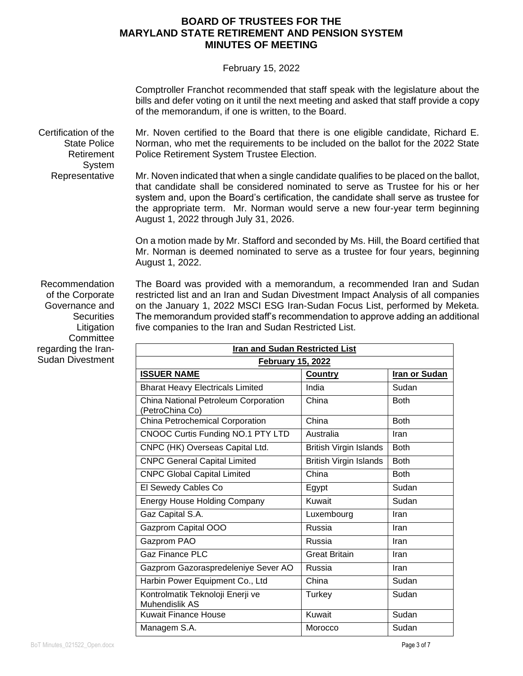#### February 15, 2022

Comptroller Franchot recommended that staff speak with the legislature about the bills and defer voting on it until the next meeting and asked that staff provide a copy of the memorandum, if one is written, to the Board.

Certification of the State Police Retirement System Mr. Noven certified to the Board that there is one eligible candidate, Richard E. Norman, who met the requirements to be included on the ballot for the 2022 State Police Retirement System Trustee Election.

> Mr. Noven indicated that when a single candidate qualifies to be placed on the ballot, that candidate shall be considered nominated to serve as Trustee for his or her system and, upon the Board's certification, the candidate shall serve as trustee for the appropriate term. Mr. Norman would serve a new four-year term beginning August 1, 2022 through July 31, 2026.

On a motion made by Mr. Stafford and seconded by Ms. Hill, the Board certified that Mr. Norman is deemed nominated to serve as a trustee for four years, beginning August 1, 2022.

Recommendation of the Corporate Governance and **Securities** Litigation **Committee** regarding the Iran-Sudan Divestment

Representative

The Board was provided with a memorandum, a recommended Iran and Sudan restricted list and an Iran and Sudan Divestment Impact Analysis of all companies on the January 1, 2022 MSCI ESG Iran-Sudan Focus List, performed by Meketa. The memorandum provided staff's recommendation to approve adding an additional five companies to the Iran and Sudan Restricted List.

| <b>Iran and Sudan Restricted List</b>                   |                               |                      |  |
|---------------------------------------------------------|-------------------------------|----------------------|--|
| <b>February 15, 2022</b>                                |                               |                      |  |
| <b>ISSUER NAME</b>                                      | Country                       | <b>Iran or Sudan</b> |  |
| <b>Bharat Heavy Electricals Limited</b>                 | India                         | Sudan                |  |
| China National Petroleum Corporation<br>(PetroChina Co) | China                         | <b>Both</b>          |  |
| China Petrochemical Corporation                         | China                         | <b>Both</b>          |  |
| CNOOC Curtis Funding NO.1 PTY LTD                       | Australia                     | Iran                 |  |
| CNPC (HK) Overseas Capital Ltd.                         | <b>British Virgin Islands</b> | <b>Both</b>          |  |
| <b>CNPC General Capital Limited</b>                     | <b>British Virgin Islands</b> | <b>Both</b>          |  |
| <b>CNPC Global Capital Limited</b>                      | China                         | <b>Both</b>          |  |
| El Sewedy Cables Co                                     | Egypt                         | Sudan                |  |
| <b>Energy House Holding Company</b>                     | Kuwait                        | Sudan                |  |
| Gaz Capital S.A.                                        | Luxembourg                    | Iran                 |  |
| Gazprom Capital OOO                                     | Russia                        | Iran                 |  |
| Gazprom PAO                                             | Russia                        | Iran                 |  |
| <b>Gaz Finance PLC</b>                                  | <b>Great Britain</b>          | Iran                 |  |
| Gazprom Gazoraspredeleniye Sever AO                     | Russia                        | Iran                 |  |
| Harbin Power Equipment Co., Ltd                         | China                         | Sudan                |  |
| Kontrolmatik Teknoloji Enerji ve<br>Muhendislik AS      | Turkey                        | Sudan                |  |
| <b>Kuwait Finance House</b>                             | Kuwait                        | Sudan                |  |
| Managem S.A.                                            | Morocco                       | Sudan                |  |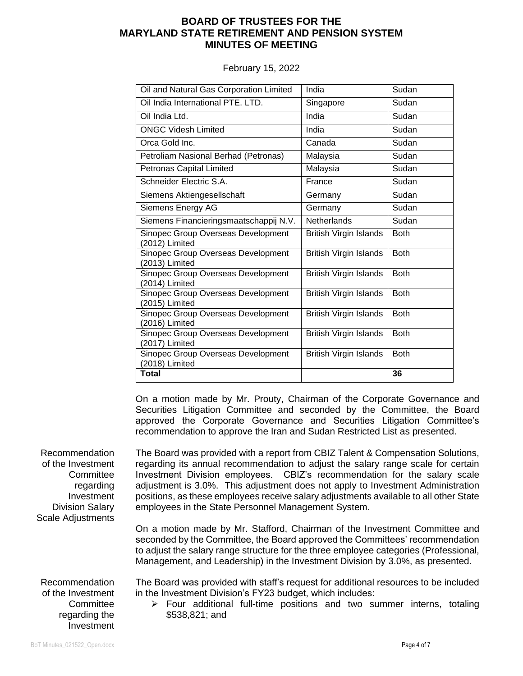February 15, 2022

| Oil and Natural Gas Corporation Limited              | India                         | Sudan       |
|------------------------------------------------------|-------------------------------|-------------|
| Oil India International PTE. LTD.                    | Singapore                     | Sudan       |
| Oil India Ltd.                                       | India                         | Sudan       |
| <b>ONGC Videsh Limited</b>                           | India                         | Sudan       |
| Orca Gold Inc.                                       | Canada                        | Sudan       |
| Petroliam Nasional Berhad (Petronas)                 | Malaysia                      | Sudan       |
| <b>Petronas Capital Limited</b>                      | Malaysia                      | Sudan       |
| Schneider Electric S.A.                              | France                        | Sudan       |
| Siemens Aktiengesellschaft                           | Germany                       | Sudan       |
| Siemens Energy AG                                    | Germany                       | Sudan       |
| Siemens Financieringsmaatschappij N.V.               | <b>Netherlands</b>            | Sudan       |
| Sinopec Group Overseas Development<br>(2012) Limited | British Virgin Islands        | <b>Both</b> |
| Sinopec Group Overseas Development<br>(2013) Limited | <b>British Virgin Islands</b> | <b>Both</b> |
| Sinopec Group Overseas Development<br>(2014) Limited | <b>British Virgin Islands</b> | <b>Both</b> |
| Sinopec Group Overseas Development<br>(2015) Limited | <b>British Virgin Islands</b> | <b>Both</b> |
| Sinopec Group Overseas Development<br>(2016) Limited | <b>British Virgin Islands</b> | <b>Both</b> |
| Sinopec Group Overseas Development<br>(2017) Limited | <b>British Virgin Islands</b> | <b>Both</b> |
| Sinopec Group Overseas Development<br>(2018) Limited | <b>British Virgin Islands</b> | <b>Both</b> |
| <b>Total</b>                                         |                               | 36          |

On a motion made by Mr. Prouty, Chairman of the Corporate Governance and Securities Litigation Committee and seconded by the Committee, the Board approved the Corporate Governance and Securities Litigation Committee's recommendation to approve the Iran and Sudan Restricted List as presented.

Recommendation of the Investment **Committee** regarding Investment Division Salary Scale Adjustments

Recommendation of the Investment **Committee** regarding the Investment

The Board was provided with a report from CBIZ Talent & Compensation Solutions, regarding its annual recommendation to adjust the salary range scale for certain Investment Division employees. CBIZ's recommendation for the salary scale adjustment is 3.0%. This adjustment does not apply to Investment Administration positions, as these employees receive salary adjustments available to all other State employees in the State Personnel Management System.

On a motion made by Mr. Stafford, Chairman of the Investment Committee and seconded by the Committee, the Board approved the Committees' recommendation to adjust the salary range structure for the three employee categories (Professional, Management, and Leadership) in the Investment Division by 3.0%, as presented.

The Board was provided with staff's request for additional resources to be included in the Investment Division's FY23 budget, which includes:

➢ Four additional full-time positions and two summer interns, totaling \$538,821; and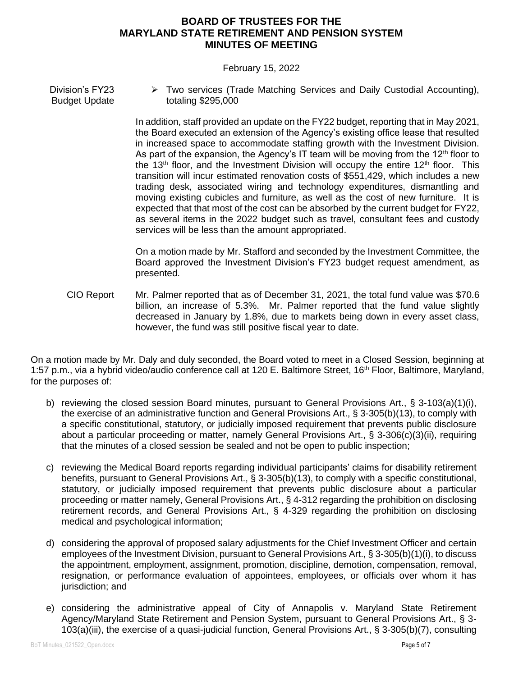#### February 15, 2022

Division's FY23 Budget Update ➢ Two services (Trade Matching Services and Daily Custodial Accounting), totaling \$295,000

> In addition, staff provided an update on the FY22 budget, reporting that in May 2021, the Board executed an extension of the Agency's existing office lease that resulted in increased space to accommodate staffing growth with the Investment Division. As part of the expansion, the Agency's IT team will be moving from the 12<sup>th</sup> floor to the 13<sup>th</sup> floor, and the Investment Division will occupy the entire 12<sup>th</sup> floor. This transition will incur estimated renovation costs of \$551,429, which includes a new trading desk, associated wiring and technology expenditures, dismantling and moving existing cubicles and furniture, as well as the cost of new furniture. It is expected that that most of the cost can be absorbed by the current budget for FY22, as several items in the 2022 budget such as travel, consultant fees and custody services will be less than the amount appropriated.

> On a motion made by Mr. Stafford and seconded by the Investment Committee, the Board approved the Investment Division's FY23 budget request amendment, as presented.

CIO Report Mr. Palmer reported that as of December 31, 2021, the total fund value was \$70.6 billion, an increase of 5.3%. Mr. Palmer reported that the fund value slightly decreased in January by 1.8%, due to markets being down in every asset class, however, the fund was still positive fiscal year to date.

On a motion made by Mr. Daly and duly seconded, the Board voted to meet in a Closed Session, beginning at 1:57 p.m., via a hybrid video/audio conference call at 120 E. Baltimore Street, 16<sup>th</sup> Floor, Baltimore, Maryland, for the purposes of:

- b) reviewing the closed session Board minutes, pursuant to General Provisions Art., § 3-103(a)(1)(i), the exercise of an administrative function and General Provisions Art., § 3-305(b)(13), to comply with a specific constitutional, statutory, or judicially imposed requirement that prevents public disclosure about a particular proceeding or matter, namely General Provisions Art., § 3-306(c)(3)(ii), requiring that the minutes of a closed session be sealed and not be open to public inspection;
- c) reviewing the Medical Board reports regarding individual participants' claims for disability retirement benefits, pursuant to General Provisions Art., § 3-305(b)(13), to comply with a specific constitutional, statutory, or judicially imposed requirement that prevents public disclosure about a particular proceeding or matter namely, General Provisions Art., § 4-312 regarding the prohibition on disclosing retirement records, and General Provisions Art., § 4-329 regarding the prohibition on disclosing medical and psychological information;
- d) considering the approval of proposed salary adjustments for the Chief Investment Officer and certain employees of the Investment Division, pursuant to General Provisions Art., § 3-305(b)(1)(i), to discuss the appointment, employment, assignment, promotion, discipline, demotion, compensation, removal, resignation, or performance evaluation of appointees, employees, or officials over whom it has jurisdiction; and
- e) considering the administrative appeal of City of Annapolis v. Maryland State Retirement Agency/Maryland State Retirement and Pension System, pursuant to General Provisions Art., § 3- 103(a)(iii), the exercise of a quasi-judicial function, General Provisions Art., § 3-305(b)(7), consulting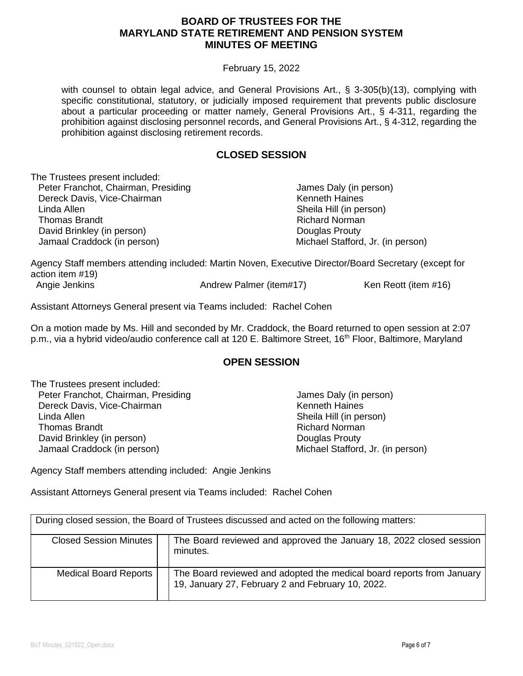#### February 15, 2022

with counsel to obtain legal advice, and General Provisions Art., § 3-305(b)(13), complying with specific constitutional, statutory, or judicially imposed requirement that prevents public disclosure about a particular proceeding or matter namely, General Provisions Art., § 4-311, regarding the prohibition against disclosing personnel records, and General Provisions Art., § 4-312, regarding the prohibition against disclosing retirement records.

## **CLOSED SESSION**

The Trustees present included: Peter Franchot, Chairman, Presiding Dereck Davis, Vice-Chairman Linda Allen Thomas Brandt David Brinkley (in person) Jamaal Craddock (in person)

 James Daly (in person) Kenneth Haines Sheila Hill (in person) Richard Norman Douglas Prouty Michael Stafford, Jr. (in person)

Agency Staff members attending included: Martin Noven, Executive Director/Board Secretary (except for action item #19) Angie Jenkins **Andrew Palmer (item#17)** Ken Reott (item #16)

Assistant Attorneys General present via Teams included: Rachel Cohen

On a motion made by Ms. Hill and seconded by Mr. Craddock, the Board returned to open session at 2:07 p.m., via a hybrid video/audio conference call at 120 E. Baltimore Street, 16<sup>th</sup> Floor, Baltimore, Maryland

#### **OPEN SESSION**

The Trustees present included: Peter Franchot, Chairman, Presiding Dereck Davis, Vice-Chairman Linda Allen Thomas Brandt David Brinkley (in person) Jamaal Craddock (in person)

 James Daly (in person) Kenneth Haines Sheila Hill (in person) Richard Norman Douglas Prouty Michael Stafford, Jr. (in person)

Agency Staff members attending included: Angie Jenkins

Assistant Attorneys General present via Teams included: Rachel Cohen

During closed session, the Board of Trustees discussed and acted on the following matters:

| <b>Closed Session Minutes</b> | The Board reviewed and approved the January 18, 2022 closed session<br>minutes.                                            |
|-------------------------------|----------------------------------------------------------------------------------------------------------------------------|
| <b>Medical Board Reports</b>  | The Board reviewed and adopted the medical board reports from January<br>19, January 27, February 2 and February 10, 2022. |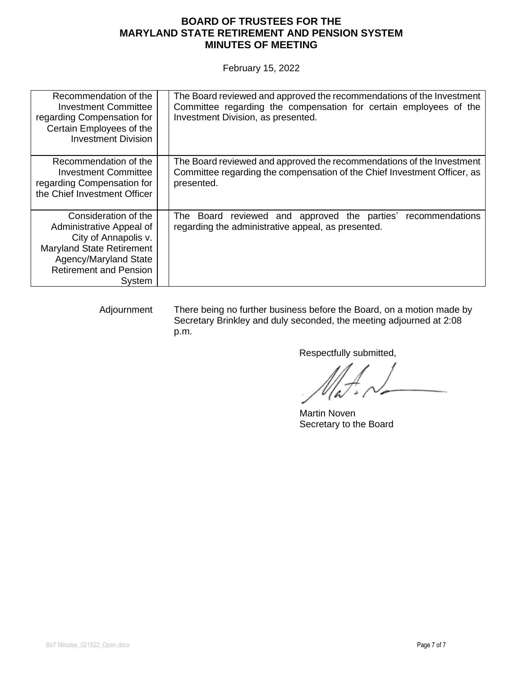February 15, 2022

| Recommendation of the<br><b>Investment Committee</b><br>regarding Compensation for<br>Certain Employees of the<br><b>Investment Division</b>                                     | The Board reviewed and approved the recommendations of the Investment<br>Committee regarding the compensation for certain employees of the<br>Investment Division, as presented. |
|----------------------------------------------------------------------------------------------------------------------------------------------------------------------------------|----------------------------------------------------------------------------------------------------------------------------------------------------------------------------------|
| Recommendation of the<br><b>Investment Committee</b><br>regarding Compensation for<br>the Chief Investment Officer                                                               | The Board reviewed and approved the recommendations of the Investment<br>Committee regarding the compensation of the Chief Investment Officer, as<br>presented.                  |
| Consideration of the<br>Administrative Appeal of<br>City of Annapolis v.<br><b>Maryland State Retirement</b><br>Agency/Maryland State<br><b>Retirement and Pension</b><br>System | reviewed and approved the parties'<br>recommendations<br>The Board<br>regarding the administrative appeal, as presented.                                                         |

Adjournment There being no further business before the Board, on a motion made by Secretary Brinkley and duly seconded, the meeting adjourned at 2:08 p.m.

Respectfully submitted,

 Martin Noven Secretary to the Board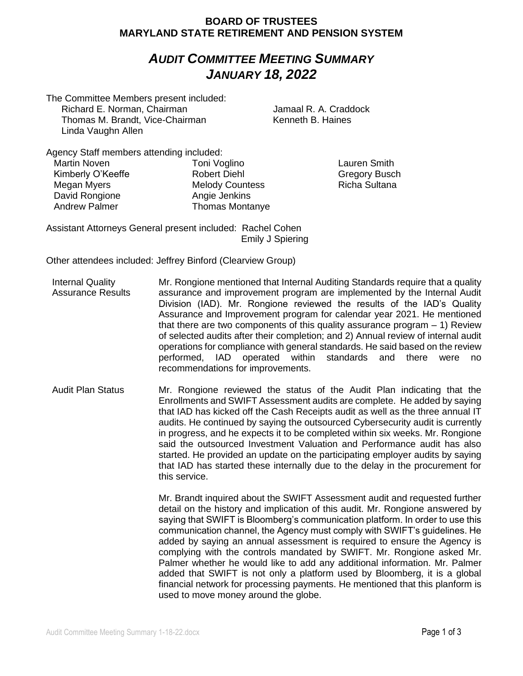## *AUDIT COMMITTEE MEETING SUMMARY JANUARY 18, 2022*

The Committee Members present included:

Richard E. Norman, Chairman Thomas M. Brandt, Vice-Chairman Linda Vaughn Allen

 Jamaal R. A. Craddock Kenneth B. Haines

Agency Staff members attending included:

Martin Noven Kimberly O'Keeffe Megan Myers David Rongione Andrew Palmer

Toni Voglino Robert Diehl Melody Countess Angie Jenkins Thomas Montanye

Lauren Smith Gregory Busch Richa Sultana

Assistant Attorneys General present included: Rachel Cohen Emily J Spiering

Other attendees included: Jeffrey Binford (Clearview Group)

- Internal Quality Assurance Results Mr. Rongione mentioned that Internal Auditing Standards require that a quality assurance and improvement program are implemented by the Internal Audit Division (IAD). Mr. Rongione reviewed the results of the IAD's Quality Assurance and Improvement program for calendar year 2021. He mentioned that there are two components of this quality assurance program  $-1$ ) Review of selected audits after their completion; and 2) Annual review of internal audit operations for compliance with general standards. He said based on the review performed, IAD operated within standards and there were no recommendations for improvements.
- Audit Plan Status Mr. Rongione reviewed the status of the Audit Plan indicating that the Enrollments and SWIFT Assessment audits are complete. He added by saying that IAD has kicked off the Cash Receipts audit as well as the three annual IT audits. He continued by saying the outsourced Cybersecurity audit is currently in progress, and he expects it to be completed within six weeks. Mr. Rongione said the outsourced Investment Valuation and Performance audit has also started. He provided an update on the participating employer audits by saying that IAD has started these internally due to the delay in the procurement for this service.

Mr. Brandt inquired about the SWIFT Assessment audit and requested further detail on the history and implication of this audit. Mr. Rongione answered by saying that SWIFT is Bloomberg's communication platform. In order to use this communication channel, the Agency must comply with SWIFT's guidelines. He added by saying an annual assessment is required to ensure the Agency is complying with the controls mandated by SWIFT. Mr. Rongione asked Mr. Palmer whether he would like to add any additional information. Mr. Palmer added that SWIFT is not only a platform used by Bloomberg, it is a global financial network for processing payments. He mentioned that this planform is used to move money around the globe.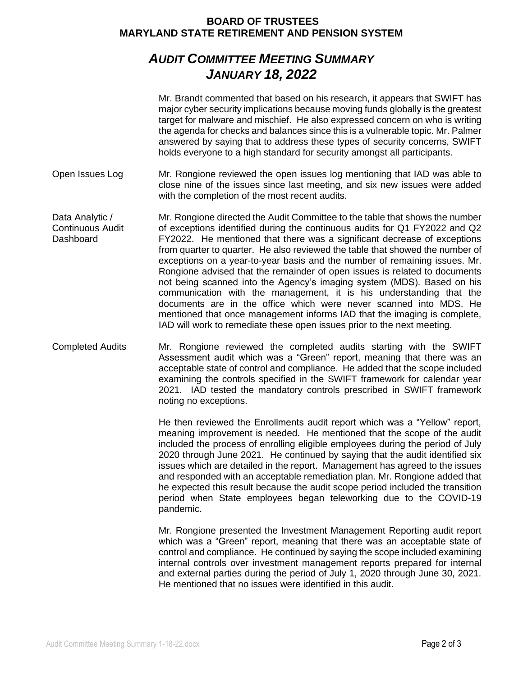# *AUDIT COMMITTEE MEETING SUMMARY JANUARY 18, 2022*

|                                                         | Mr. Brandt commented that based on his research, it appears that SWIFT has<br>major cyber security implications because moving funds globally is the greatest<br>target for malware and mischief. He also expressed concern on who is writing<br>the agenda for checks and balances since this is a vulnerable topic. Mr. Palmer<br>answered by saying that to address these types of security concerns, SWIFT<br>holds everyone to a high standard for security amongst all participants.                                                                                                                                                                                                                                                                                                                                                                       |
|---------------------------------------------------------|------------------------------------------------------------------------------------------------------------------------------------------------------------------------------------------------------------------------------------------------------------------------------------------------------------------------------------------------------------------------------------------------------------------------------------------------------------------------------------------------------------------------------------------------------------------------------------------------------------------------------------------------------------------------------------------------------------------------------------------------------------------------------------------------------------------------------------------------------------------|
| Open Issues Log                                         | Mr. Rongione reviewed the open issues log mentioning that IAD was able to<br>close nine of the issues since last meeting, and six new issues were added<br>with the completion of the most recent audits.                                                                                                                                                                                                                                                                                                                                                                                                                                                                                                                                                                                                                                                        |
| Data Analytic /<br><b>Continuous Audit</b><br>Dashboard | Mr. Rongione directed the Audit Committee to the table that shows the number<br>of exceptions identified during the continuous audits for Q1 FY2022 and Q2<br>FY2022. He mentioned that there was a significant decrease of exceptions<br>from quarter to quarter. He also reviewed the table that showed the number of<br>exceptions on a year-to-year basis and the number of remaining issues. Mr.<br>Rongione advised that the remainder of open issues is related to documents<br>not being scanned into the Agency's imaging system (MDS). Based on his<br>communication with the management, it is his understanding that the<br>documents are in the office which were never scanned into MDS. He<br>mentioned that once management informs IAD that the imaging is complete,<br>IAD will work to remediate these open issues prior to the next meeting. |
| <b>Completed Audits</b>                                 | Mr. Rongione reviewed the completed audits starting with the SWIFT<br>Assessment audit which was a "Green" report, meaning that there was an<br>acceptable state of control and compliance. He added that the scope included<br>examining the controls specified in the SWIFT framework for calendar year<br>2021. IAD tested the mandatory controls prescribed in SWIFT framework<br>noting no exceptions.                                                                                                                                                                                                                                                                                                                                                                                                                                                      |
|                                                         | He then reviewed the Enrollments audit report which was a "Yellow" report,<br>meaning improvement is needed. He mentioned that the scope of the audit<br>included the process of enrolling eligible employees during the period of July<br>2020 through June 2021. He continued by saying that the audit identified six<br>issues which are detailed in the report. Management has agreed to the issues<br>and responded with an acceptable remediation plan. Mr. Rongione added that<br>he expected this result because the audit scope period included the transition<br>period when State employees began teleworking due to the COVID-19<br>pandemic.                                                                                                                                                                                                        |
|                                                         | Mr. Rongione presented the Investment Management Reporting audit report<br>which was a "Green" report, meaning that there was an acceptable state of<br>control and compliance. He continued by saying the scope included examining<br>internal controls over investment management reports prepared for internal                                                                                                                                                                                                                                                                                                                                                                                                                                                                                                                                                |

and external parties during the period of July 1, 2020 through June 30, 2021.

He mentioned that no issues were identified in this audit.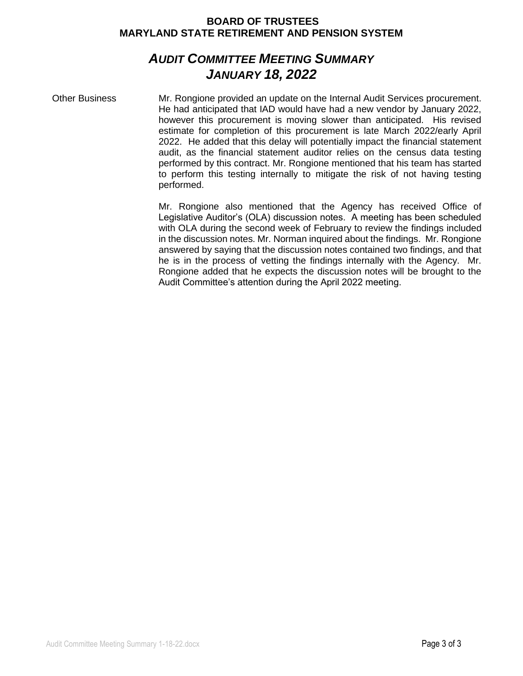## *AUDIT COMMITTEE MEETING SUMMARY JANUARY 18, 2022*

Other Business Mr. Rongione provided an update on the Internal Audit Services procurement. He had anticipated that IAD would have had a new vendor by January 2022, however this procurement is moving slower than anticipated. His revised estimate for completion of this procurement is late March 2022/early April 2022. He added that this delay will potentially impact the financial statement audit, as the financial statement auditor relies on the census data testing performed by this contract. Mr. Rongione mentioned that his team has started to perform this testing internally to mitigate the risk of not having testing performed.

> Mr. Rongione also mentioned that the Agency has received Office of Legislative Auditor's (OLA) discussion notes. A meeting has been scheduled with OLA during the second week of February to review the findings included in the discussion notes. Mr. Norman inquired about the findings. Mr. Rongione answered by saying that the discussion notes contained two findings, and that he is in the process of vetting the findings internally with the Agency. Mr. Rongione added that he expects the discussion notes will be brought to the Audit Committee's attention during the April 2022 meeting.